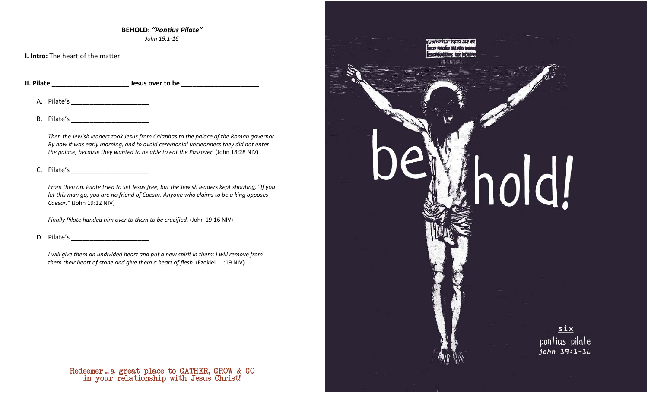**BEHOLD:** *"PonƟus Pilate" John 19:1-16* 

**I. Intro:** The heart of the matter

**II. Pilate** \_\_\_\_\_\_\_\_\_\_\_\_\_\_\_\_\_\_\_\_\_ **Jesus over to be** \_\_\_\_\_\_\_\_\_\_\_\_\_\_\_\_\_\_\_\_\_

A. Pilate's \_\_\_\_\_\_\_\_\_\_\_\_\_\_\_\_\_\_\_\_\_

B. Pilate's \_\_\_\_\_\_\_\_\_\_\_\_\_\_\_\_\_\_\_\_\_

*Then the Jewish leaders took Jesus from Caiaphas to the palace of the Roman governor. By now it was early morning, and to avoid ceremonial uncleanness they did not enter the palace, because they wanted to be able to eat the Passover.* (John 18:28 NIV)

### C. Pilate's \_\_\_\_\_\_\_\_\_\_\_\_\_\_\_\_\_\_\_\_\_

*From then on, Pilate tried to set Jesus free, but the Jewish leaders kept shouting, "If you let this man go, you are no friend of Caesar. Anyone who claims to be a king opposes Caesar."* (John 19:12 NIV)

*Finally Pilate handed him over to them to be crucified.* (John 19:16 NIV)

D. Pilate's

*I will give them an undivided heart and put a new spirit in them; I will remove from them their heart of stone and give them a heart of flesh.* (Ezekiel 11:19 NIV)

> in your relationship with Jesus Christ! Redeemer ... a great place to GATHER, GROW & GO